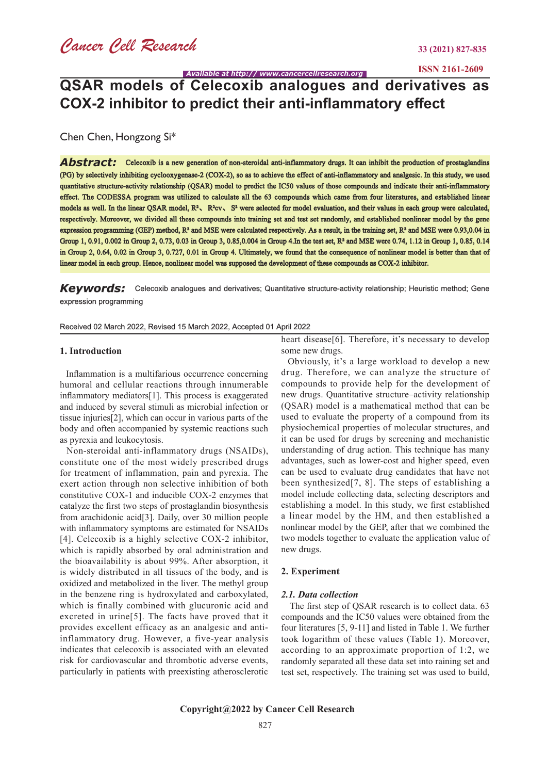**ISSN 2161-2609**

*Available at http:// www.cancercellresearch.org*

## **QSAR models of Celecoxib analogues and derivatives as COX-2 inhibitor to predict their anti-inflammatory effect**

Chen Chen, Hongzong Si\*

Abstract: Celecoxib is a new generation of non-steroidal anti-inflammatory drugs. It can inhibit the production of prostaglandins (PG) by selectively inhibiting cyclooxygenase-2 (COX-2), so as to achieve the effect of anti-inflammatory and analgesic. In this study, we used quantitative structure-activity relationship (QSAR) model to predict the IC50 values of those compounds and indicate their anti-inflammatory effect. The CODESSA program was utilized to calculate all the 63 compounds which came from four literatures, and established linear models as well. In the linear QSAR model, R<sup>2</sup>, R<sup>2</sup>cv, S<sup>2</sup> were selected for model evaluation, and their values in each group were calculated, respectively. Moreover, we divided all these compounds into training set and test set randomly, and established nonlinear model by the gene expression programming (GEP) method, R² and MSE were calculated respectively. As a result, in the training set, R² and MSE were 0.93,0.04 in Group 1, 0.91, 0.002 in Group 2, 0.73, 0.03 in Group 3, 0.85,0.004 in Group 4.In the test set, R² and MSE were 0.74, 1.12 in Group 1, 0.85, 0.14 in Group 2, 0.64, 0.02 in Group 3, 0.727, 0.01 in Group 4. Ultimately, we found that the consequence of nonlinear model is better than that of linear model in each group. Hence, nonlinear model was supposed the development of these compounds as COX-2 inhibitor.

## Keywords: Celecoxib analogues and derivatives; Quantitative structure-activity relationship; Heuristic method; Gene expression programming

### Received 02 March 2022, Revised 15 March 2022, Accepted 01 April 2022

### **1. Introduction**

 Inflammation is a multifarious occurrence concerning humoral and cellular reactions through innumerable inflammatory mediators[1]. This process is exaggerated and induced by several stimuli as microbial infection or tissue injuries[2], which can occur in various parts of the body and often accompanied by systemic reactions such as pyrexia and leukocytosis.

 Non-steroidal anti-inflammatory drugs (NSAIDs), constitute one of the most widely prescribed drugs for treatment of inflammation, pain and pyrexia. The exert action through non selective inhibition of both constitutive COX-1 and inducible COX-2 enzymes that catalyze the first two steps of prostaglandin biosynthesis from arachidonic acid[3]. Daily, over 30 million people with inflammatory symptoms are estimated for NSAIDs [4]. Celecoxib is a highly selective COX-2 inhibitor, which is rapidly absorbed by oral administration and the bioavailability is about 99%. After absorption, it is widely distributed in all tissues of the body, and is oxidized and metabolized in the liver. The methyl group in the benzene ring is hydroxylated and carboxylated, which is finally combined with glucuronic acid and excreted in urine[5]. The facts have proved that it provides excellent efficacy as an analgesic and antiinflammatory drug. However, a five-year analysis indicates that celecoxib is associated with an elevated risk for cardiovascular and thrombotic adverse events, particularly in patients with preexisting atherosclerotic

heart disease[6]. Therefore, it's necessary to develop some new drugs.

 Obviously, it's a large workload to develop a new drug. Therefore, we can analyze the structure of compounds to provide help for the development of new drugs. Quantitative structure–activity relationship (QSAR) model is a mathematical method that can be used to evaluate the property of a compound from its physiochemical properties of molecular structures, and it can be used for drugs by screening and mechanistic understanding of drug action. This technique has many advantages, such as lower-cost and higher speed, even can be used to evaluate drug candidates that have not been synthesized[7, 8]. The steps of establishing a model include collecting data, selecting descriptors and establishing a model. In this study, we first established a linear model by the HM, and then established a nonlinear model by the GEP, after that we combined the two models together to evaluate the application value of new drugs.

### **2. Experiment**

### *2.1. Data collection*

 The first step of QSAR research is to collect data. 63 compounds and the IC50 values were obtained from the four literatures [5, 9-11] and listed in Table 1. We further took logarithm of these values (Table 1). Moreover, according to an approximate proportion of 1:2, we randomly separated all these data set into raining set and test set, respectively. The training set was used to build,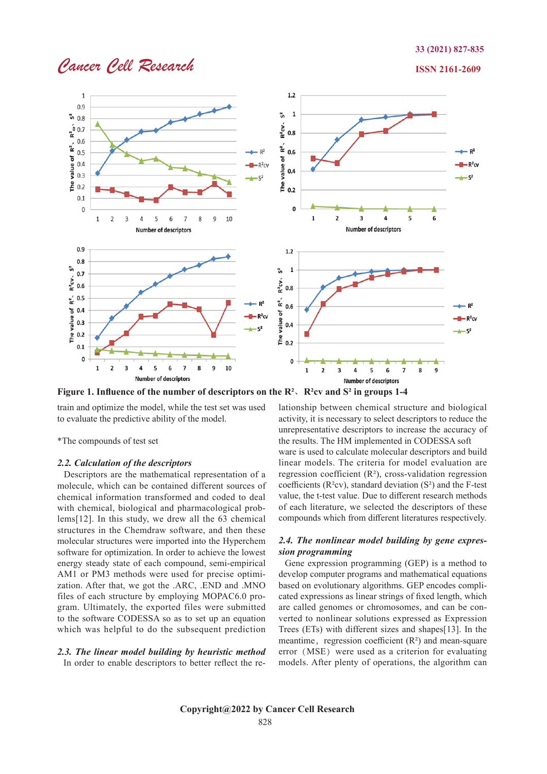## *Cancer Cell Research* **ISSN 2161-2609**



**Figure 1. Influence of the number of descriptors on the R²**、**R²cv and S² in groups 1-4**

train and optimize the model, while the test set was used to evaluate the predictive ability of the model.

\*The compounds of test set

### *2.2. Calculation of the descriptors*

Descriptors are the mathematical representation of a molecule, which can be contained different sources of chemical information transformed and coded to deal with chemical, biological and pharmacological problems[12]. In this study, we drew all the 63 chemical structures in the Chemdraw software, and then these molecular structures were imported into the Hyperchem software for optimization. In order to achieve the lowest energy steady state of each compound, semi-empirical AM1 or PM3 methods were used for precise optimization. After that, we got the .ARC, .END and .MNO files of each structure by employing MOPAC6.0 program. Ultimately, the exported files were submitted to the software CODESSA so as to set up an equation which was helpful to do the subsequent prediction

## *2.3. The linear model building by heuristic method*

In order to enable descriptors to better reflect the re-

lationship between chemical structure and biological activity, it is necessary to select descriptors to reduce the unrepresentative descriptors to increase the accuracy of the results. The HM implemented in CODESSA soft ware is used to calculate molecular descriptors and build linear models. The criteria for model evaluation are regression coefficient  $(R<sup>2</sup>)$ , cross-validation regression coefficients ( $R<sup>2</sup>$ cv), standard deviation ( $S<sup>2</sup>$ ) and the F-test value, the t-test value. Due to different research methods

## *2.4. The nonlinear model building by gene expression programming*

of each literature, we selected the descriptors of these compounds which from different literatures respectively.

 Gene expression programming (GEP) is a method to develop computer programs and mathematical equations based on evolutionary algorithms. GEP encodes complicated expressions as linear strings of fixed length, which are called genomes or chromosomes, and can be converted to nonlinear solutions expressed as Expression Trees (ETs) with different sizes and shapes[13]. In the meantime, regression coefficient  $(R<sup>2</sup>)$  and mean-square error (MSE) were used as a criterion for evaluating models. After plenty of operations, the algorithm can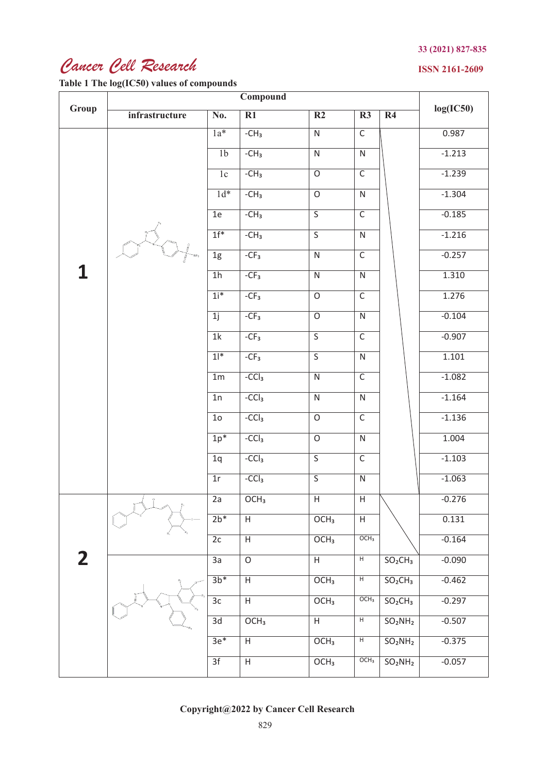# *Cancer Cell Research*

**Table 1 The log(IC50) values of compounds**

## **ISSN 2161-2609**

| Group                   | infrastructure | $\overline{\text{No.}}$ | $\overline{R1}$           | $\overline{R2}$         | $\overline{\mathbf{R3}}$ | $\overline{R4}$                                                    | log(IC50) |
|-------------------------|----------------|-------------------------|---------------------------|-------------------------|--------------------------|--------------------------------------------------------------------|-----------|
|                         |                | $\overline{1a^*}$       | $-CH3$                    | $\overline{N}$          | $\overline{\mathsf{C}}$  |                                                                    | 0.987     |
|                         |                | 1 <sub>b</sub>          | $-CH3$                    | $\overline{\mathsf{N}}$ | $\overline{\textsf{N}}$  |                                                                    | $-1.213$  |
|                         |                | 1c                      | $-CH3$                    | $\overline{O}$          | $\overline{C}$           |                                                                    | $-1.239$  |
|                         |                | $1d*$                   | $-CH3$                    | $\overline{O}$          | $\overline{N}$           |                                                                    | $-1.304$  |
|                         |                | 1e                      | $-CH3$                    | $\overline{\mathsf{S}}$ | $\overline{\mathsf{C}}$  |                                                                    | $-0.185$  |
|                         |                | $1f^*$                  | $-CH3$                    | $\overline{\mathsf{S}}$ | $\overline{\mathsf{N}}$  |                                                                    | $-1.216$  |
|                         |                | $\overline{1g}$         | $-CF3$                    | $\overline{N}$          | $\overline{\mathsf{C}}$  |                                                                    | $-0.257$  |
| $\mathbf{1}$            |                | $\overline{1h}$         | $-CF3$                    | $\overline{N}$          | $\overline{N}$           |                                                                    | 1.310     |
|                         |                | $1i^*$                  | $-CF3$                    | $\overline{o}$          | $\overline{\mathsf{C}}$  |                                                                    | 1.276     |
|                         |                | 1j                      | $-CF3$                    | $\overline{o}$          | $\overline{N}$           |                                                                    | $-0.104$  |
|                         |                | $\overline{1k}$         | $-CF3$                    | $\overline{\mathsf{S}}$ | $\overline{\mathsf{C}}$  |                                                                    | $-0.907$  |
|                         |                | $1$ <sup>*</sup>        | $-CF3$                    | $\overline{\mathsf{S}}$ | $\overline{\mathsf{N}}$  |                                                                    | 1.101     |
|                         |                | 1 <sub>m</sub>          | $-CCl3$                   | $\overline{N}$          | $\overline{\mathsf{C}}$  |                                                                    | $-1.082$  |
|                         |                | $\overline{1n}$         | $-CCl3$                   | $\overline{N}$          | $\overline{N}$           |                                                                    | $-1.164$  |
|                         |                | $\overline{10}$         | $-CCl3$                   | $\overline{O}$          | $\overline{\mathsf{C}}$  |                                                                    | $-1.136$  |
|                         |                | $1p^*$                  | $-CCl3$                   | $\overline{O}$          | $\overline{N}$           |                                                                    | 1.004     |
|                         |                | 1q                      | $-CCl3$                   | $\overline{\mathsf{S}}$ | $\overline{\mathsf{C}}$  |                                                                    | $-1.103$  |
|                         |                | $\overline{1r}$         | $-CCl3$                   | $\overline{\mathsf{S}}$ | $\overline{N}$           |                                                                    | $-1.063$  |
|                         | $\frac{0}{1}$  | 2a                      | $\overline{OCH_3}$        | H                       | H                        |                                                                    | $-0.276$  |
|                         |                | $2b*$                   | $\overline{H}$            | OCH <sub>3</sub>        | $\overline{H}$           |                                                                    | 0.131     |
|                         |                | $\overline{2c}$         | $\overline{H}$            | OCH <sub>3</sub>        | OCH <sub>3</sub>         |                                                                    | $-0.164$  |
| $\overline{\mathbf{2}}$ |                | 3a                      | $\overline{O}$            | $\mathsf H$             | $\overline{H}$           | SO <sub>2</sub> CH <sub>3</sub>                                    | $-0.090$  |
|                         |                | $3b*$                   | $\boldsymbol{\mathsf{H}}$ | OCH <sub>3</sub>        | $\overline{H}$           | SO <sub>2</sub> CH <sub>3</sub>                                    | $-0.462$  |
|                         |                | $\overline{3c}$         | $\overline{H}$            | OCH <sub>3</sub>        | OCH <sub>3</sub>         | SO <sub>2</sub> CH <sub>3</sub><br>SO <sub>2</sub> NH <sub>2</sub> | $-0.297$  |
|                         |                | 3d                      | OCH <sub>3</sub>          | H                       | H                        |                                                                    | $-0.507$  |
|                         |                | $3e*$                   | $\boldsymbol{\mathsf{H}}$ | OCH <sub>3</sub>        | $\overline{H}$           | SO <sub>2</sub> NH <sub>2</sub>                                    | $-0.375$  |
|                         |                | $\overline{3f}$         | $\overline{H}$            | OCH <sub>3</sub>        | OCH <sub>3</sub>         | SO <sub>2</sub> NH <sub>2</sub>                                    | $-0.057$  |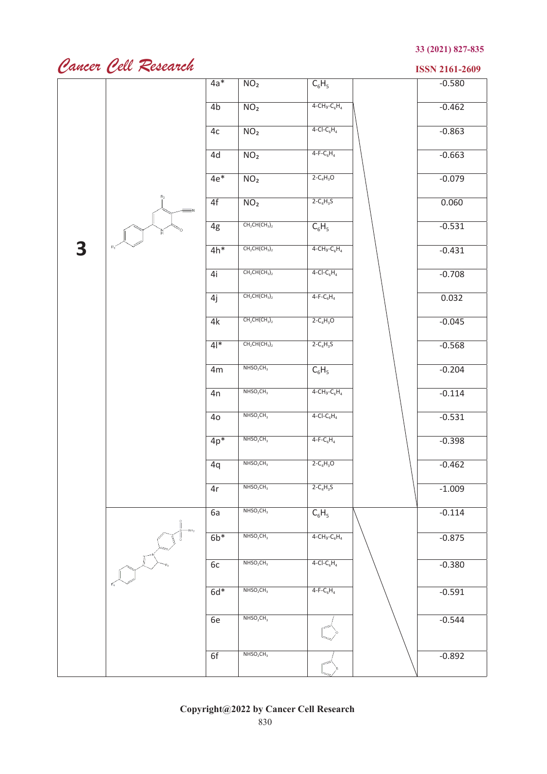# *Cancer Cell Research* **ISSN 2161-2609**

|   |       | $4a*$            | NO <sub>2</sub>                   | $C_6H_5$            | $-0.580$ |
|---|-------|------------------|-----------------------------------|---------------------|----------|
|   |       | 4 <sub>b</sub>   | NO <sub>2</sub>                   | $4 - CH_3 - C_6H_4$ | $-0.462$ |
|   |       | 4c               | NO <sub>2</sub>                   | $4-CI-C6H4$         | $-0.863$ |
|   |       | 4d               | NO <sub>2</sub>                   | $4-F-C_6H_4$        | $-0.663$ |
|   |       | $4e$ *           | NO <sub>2</sub>                   | $2 - C_4H_3O$       | $-0.079$ |
|   | $R_2$ | 4f               | NO <sub>2</sub>                   | $2-C_4H_3S$         | 0.060    |
|   | 'N.   | 4g               | $CH2CH(CH3)2$                     | $C_6H_5$            | $-0.531$ |
| 3 | $R_1$ | $4h*$            | $CH2CH(CH3)2$                     | $4 - CH_3 - C_6H_4$ | $-0.431$ |
|   |       | 4i               | $CH2CH(CH3)2$                     | $4-CI-C6H4$         | $-0.708$ |
|   |       | 4j               | $CH2CH(CH3)2$                     | $4-F-C_6H_4$        | 0.032    |
|   |       | 4k               | $CH2CH(CH3)2$                     | $2 - C_4H_3O$       | $-0.045$ |
|   |       | $4$ <sup>*</sup> | $CH2CH(CH3)2$                     | $2 - C_4H_3S$       | $-0.568$ |
|   |       | 4m               | $NHSO_2CH_3$                      | $C_6H_5$            | $-0.204$ |
|   |       | 4n               | NHSO <sub>2</sub> CH <sub>3</sub> | $4 - CH_3 - C_6H_4$ | $-0.114$ |
|   |       | 4 <sub>o</sub>   | NHSO <sub>2</sub> CH <sub>3</sub> | $4-CI-C6H4$         | $-0.531$ |
|   |       | $4p*$            | NHSO <sub>2</sub> CH <sub>3</sub> | $4-F-C_6H_4$        | $-0.398$ |
|   |       | 4q               | NHSO <sub>2</sub> CH <sub>3</sub> | $2 - C_4H_3O$       | $-0.462$ |
|   |       | 4r               | $NHSO_2CH_3$                      | $2 - C_4H_3S$       | $-1.009$ |
|   |       | 6a               | NHSO <sub>2</sub> CH <sub>3</sub> | $C_6H_5$            | $-0.114$ |
|   |       | $6b*$            | NHSO <sub>2</sub> CH <sub>3</sub> | $4 - CH_3 - C_6H_4$ | $-0.875$ |
|   |       | 6c               | NHSO <sub>2</sub> CH <sub>3</sub> | $4-CI-C6H4$         | $-0.380$ |
|   |       | $6d*$            | NHSO <sub>2</sub> CH <sub>3</sub> | $4-F-C_6H_4$        | $-0.591$ |
|   |       | 6e               | NHSO <sub>2</sub> CH <sub>3</sub> |                     | $-0.544$ |
|   |       |                  |                                   |                     |          |
|   |       | 6f               | NHSO <sub>2</sub> CH <sub>3</sub> |                     | $-0.892$ |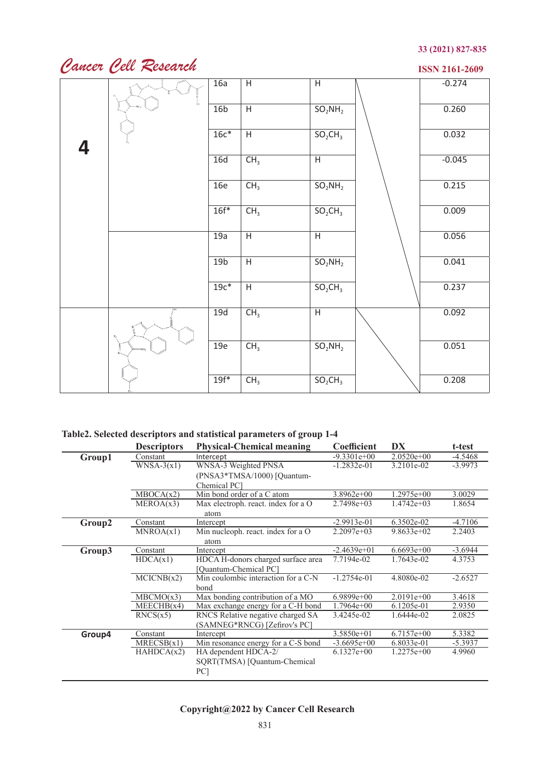# *Cancer Cell Research*

**ISSN 2161-2609**

|   |    | 16a             | $\overline{H}$  | $\overline{H}$ | $-0.274$ |
|---|----|-----------------|-----------------|----------------|----------|
|   |    |                 |                 |                |          |
|   | ôн | 16 <sub>b</sub> | $\overline{H}$  | $SO_2NH_2$     | 0.260    |
|   |    |                 |                 |                |          |
|   |    | $16c*$          | $\overline{H}$  | $SO_2CH_3$     | 0.032    |
| 4 |    |                 |                 |                |          |
|   |    | 16d             | CH <sub>3</sub> | $\overline{H}$ | $-0.045$ |
|   |    | 16e             |                 |                | 0.215    |
|   |    |                 | CH <sub>3</sub> | $SO_2NH_2$     |          |
|   |    | $16f*$          | CH <sub>3</sub> | $SO_2CH_3$     | 0.009    |
|   |    |                 |                 |                |          |
|   |    | 19a             | $\overline{H}$  | $\overline{H}$ | 0.056    |
|   |    |                 |                 |                |          |
|   |    | 19 <sub>b</sub> | $\overline{H}$  | $SO_2NH_2$     | 0.041    |
|   |    |                 |                 |                |          |
|   |    | $19c*$          | $\overline{H}$  | $SO_2CH_3$     | 0.237    |
|   |    |                 |                 |                |          |
|   |    | 19d             | CH <sub>3</sub> | $\overline{H}$ | 0.092    |
|   |    |                 |                 |                |          |
|   |    | 19e             | CH <sub>3</sub> | $SO_2NH_2$     | 0.051    |
|   |    |                 |                 |                |          |
|   |    |                 |                 |                |          |
|   |    | $19f*$          | CH <sub>3</sub> | $SO_2CH_3$     | 0.208    |

## **Table2. Selected descriptors and statistical parameters of group 1-4**

|        | <b>Descriptors</b> | <b>Physical-Chemical meaning</b>    | Coefficient   | DX           | t-test    |
|--------|--------------------|-------------------------------------|---------------|--------------|-----------|
| Group1 | Constant           | Intercept                           | $-9.3301e+00$ | $2.0520e+00$ | $-4.5468$ |
|        | $WNSA-3(x1)$       | WNSA-3 Weighted PNSA                | $-1.2832e-01$ | 3.2101e-02   | $-3.9973$ |
|        |                    | (PNSA3*TMSA/1000) [Quantum-         |               |              |           |
|        |                    | Chemical PC1                        |               |              |           |
|        | MBOCA(x2)          | Min bond order of a C atom          | $3.8962e+00$  | $1.2975e+00$ | 3.0029    |
|        | MEROA(x3)          | Max electroph. react. index for a O | $2.7498e+03$  | $1.4742e+03$ | 1.8654    |
|        |                    | atom                                |               |              |           |
| Group2 | Constant           | Intercept                           | $-2.9913e-01$ | 6.3502e-02   | $-4.7106$ |
|        | MNROA(x1)          | Min nucleoph. react. index for a O  | $2.2097e+03$  | $9.8633e+02$ | 2.2403    |
|        |                    | atom                                |               |              |           |
| Group3 | Constant           | Intercept                           | $-2.4639e+01$ | $6.6693e+00$ | $-3.6944$ |
|        | HDCA(x1)           | HDCA H-donors charged surface area  | 7.7194e-02    | 1.7643e-02   | 4.3753    |
|        |                    | [Ouantum-Chemical PC]               |               |              |           |
|        | MCICNB(x2)         | Min coulombic interaction for a C-N | $-1.2754e-01$ | 4.8080e-02   | $-2.6527$ |
|        |                    | bond                                |               |              |           |
|        | MBCMO(x3)          | Max bonding contribution of a MO    | $6.9899e+00$  | $2.0191e+00$ | 3.4618    |
|        | MEECHB(x4)         | Max exchange energy for a C-H bond  | $1.7964e+00$  | 6.1205e-01   | 2.9350    |
|        | RNCS(x5)           | RNCS Relative negative charged SA   | 3.4245e-02    | 1.6444e-02   | 2.0825    |
|        |                    | (SAMNEG*RNCG) [Zefirov's PC]        |               |              |           |
| Group4 | Constant           | Intercept                           | $3.5850e+01$  | $6.7157e+00$ | 5.3382    |
|        | MRECSB(x1)         | Min resonance energy for a C-S bond | $-3.6695e+00$ | 6.8033e-01   | $-5.3937$ |
|        | HAHDCA(x2)         | HA dependent HDCA-2/                | $6.1327e+00$  | $1.2275e+00$ | 4.9960    |
|        |                    | SQRT(TMSA) [Quantum-Chemical        |               |              |           |
|        |                    | PC]                                 |               |              |           |
|        |                    |                                     |               |              |           |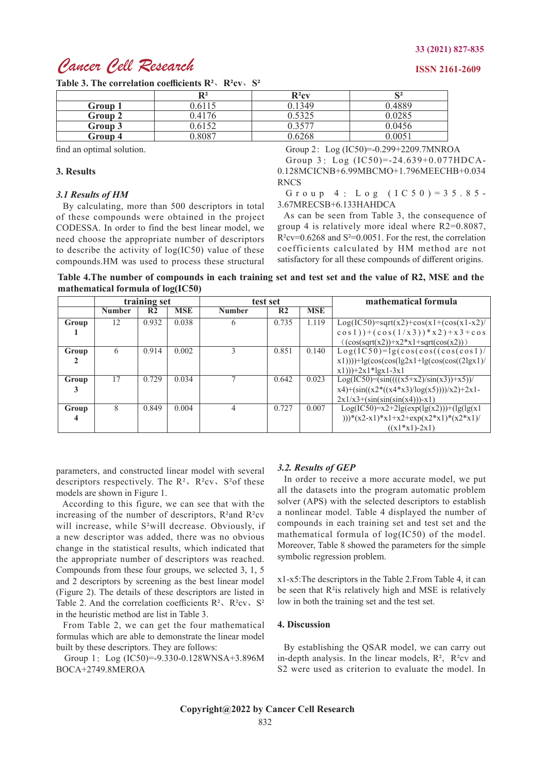## *Cancer Cell Research* **ISSN 2161-2609**

## **Table 3. The correlation coefficients R²**、**R²cv**、**S²**  $R^2$  **R**<sup>2</sup>cv **S**<sup>2</sup> **Group 1** 0.6115 0.1349 0.4889 **Group 2** 0.4176 0.5325 0.0285 **Group 3** 0.6152 0.3577 0.0456 **Group 4** 0.8087 0.6268 0.0051

find an optimal solution.

## **3. Results**

#### *3.1 Results of HM*

 By calculating, more than 500 descriptors in total of these compounds were obtained in the project CODESSA. In order to find the best linear model, we need choose the appropriate number of descriptors to describe the activity of log(IC50) value of these compounds.HM was used to process these structural

Group 2: Log (IC50)=-0.299+2209.7MNROA

Group 3:Log (IC50)=-24.639+0.077HDCA-0.128MCICNB+6.99MBCMO+1.796MEECHB+0.034 RNCS

Group 4 : Log (IC50)=35.85- 3.67MRECSB+6.133HAHDCA

 As can be seen from Table 3, the consequence of group 4 is relatively more ideal where R2=0.8087,  $R^2$ cv=0.6268 and S<sup>2</sup>=0.0051. For the rest, the correlation coefficients calculated by HM method are not satisfactory for all these compounds of different origins.

**Table 4.The number of compounds in each training set and test set and the value of R2, MSE and the mathematical formula of log(IC50)**

|       | training set  |                |            | test set      |                |            | mathematical formula                                          |
|-------|---------------|----------------|------------|---------------|----------------|------------|---------------------------------------------------------------|
|       | <b>Number</b> | R <sub>2</sub> | <b>MSE</b> | <b>Number</b> | R <sub>2</sub> | <b>MSE</b> |                                                               |
| Group | 12            | 0.932          | 0.038      | 6             | 0.735          | 1.119      | $Log(IC50)=sqrt(x2)+cos(x1+(cos(x1-x2))$                      |
|       |               |                |            |               |                |            | $cos 1$ ) + $(cos (1/x3))$ * $x2$ + $x3$ + $cos$              |
|       |               |                |            |               |                |            | $((\cos(\sqrt{2})) + x^2 * x^1 + \sqrt{2}(\cos(\sqrt{x}^2)))$ |
| Group | 6             | 0.914          | 0.002      | ς             | 0.851          | 0.140      | $Log(IC50)=lg(cos(cos((cos(cos 1))$                           |
|       |               |                |            |               |                |            | $x(1))$ + lg(cos(cos(lg2x1+lg(cos(cos((2lgx1)/                |
|       |               |                |            |               |                |            | $x1))$ + 2x 1 * 1gx 1 - 3x 1                                  |
| Group | 17            | 0.729          | 0.034      |               | 0.642          | 0.023      | $Log(IC50)=(sin(((x5+x2)/sin(x3))+x5))/$                      |
|       |               |                |            |               |                |            | $x4)+(sin((x2*((x4*x3)/log(x5))))/x2)+2x1-$                   |
|       |               |                |            |               |                |            | $2x1/x3+(sin(sin(sin(x4)))-x1)$                               |
| Group | 8             | 0.849          | 0.004      | 4             | 0.727          | 0.007      | $Log(IC50)=x^2+2lg(exp(lg(x2)))+(lg(lg(x1$                    |
|       |               |                |            |               |                |            | )))*(x2-x1)*x1+x2+exp(x2*x1)*(x2*x1)/                         |
|       |               |                |            |               |                |            | $((x1*x1)-2x1)$                                               |

parameters, and constructed linear model with several descriptors respectively. The  $R^2$ ,  $R^2$ cv,  $S^2$ of these models are shown in Figure 1.

 According to this figure, we can see that with the increasing of the number of descriptors, R²and R²cv will increase, while S²will decrease. Obviously, if a new descriptor was added, there was no obvious change in the statistical results, which indicated that the appropriate number of descriptors was reached. Compounds from these four groups, we selected 3, 1, 5 and 2 descriptors by screening as the best linear model (Figure 2). The details of these descriptors are listed in Table 2. And the correlation coefficients  $R^2$ ,  $R^2$ cv,  $S^2$ in the heuristic method are list in Table 3.

 From Table 2, we can get the four mathematical formulas which are able to demonstrate the linear model built by these descriptors. They are follows:

Group 1: Log (IC50)=-9.330-0.128WNSA+3.896M BOCA+2749.8MEROA

## *3.2. Results of GEP*

 In order to receive a more accurate model, we put all the datasets into the program automatic problem solver (APS) with the selected descriptors to establish a nonlinear model. Table 4 displayed the number of compounds in each training set and test set and the mathematical formula of log(IC50) of the model. Moreover, Table 8 showed the parameters for the simple symbolic regression problem.

x1-x5:The descriptors in the Table 2.From Table 4, it can be seen that R²is relatively high and MSE is relatively low in both the training set and the test set.

## **4. Discussion**

 By establishing the QSAR model, we can carry out in-depth analysis. In the linear models, R², R²cv and S2 were used as criterion to evaluate the model. In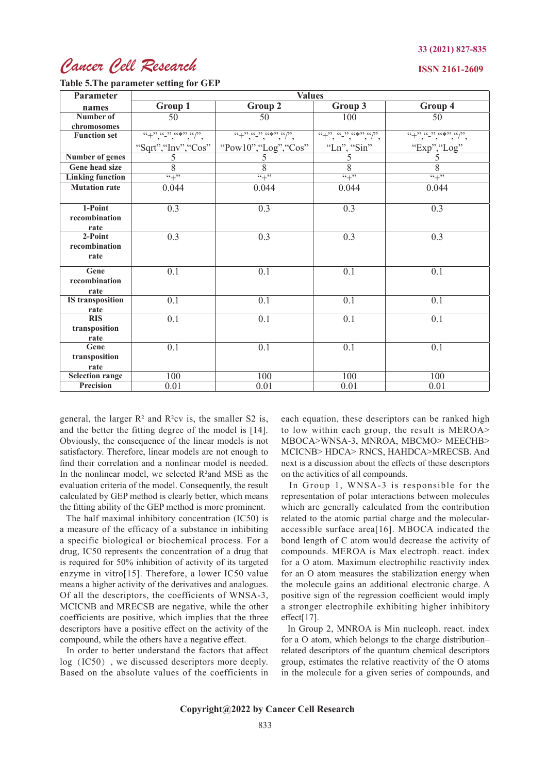## *Cancer Cell Research*

#### **ISSN 2161-2609**

**Table 5.The parameter setting for GEP**

| Parameter               | <b>Values</b>                                                                                       |                                                                                                                                                                                                                                                                                                                                                                                                                            |                                        |                                                   |  |  |
|-------------------------|-----------------------------------------------------------------------------------------------------|----------------------------------------------------------------------------------------------------------------------------------------------------------------------------------------------------------------------------------------------------------------------------------------------------------------------------------------------------------------------------------------------------------------------------|----------------------------------------|---------------------------------------------------|--|--|
| names                   | Group 1                                                                                             | Group 2                                                                                                                                                                                                                                                                                                                                                                                                                    | Group 3                                | Group 4                                           |  |  |
| Number of               | $\overline{50}$                                                                                     | $\overline{50}$                                                                                                                                                                                                                                                                                                                                                                                                            | 100                                    | $\overline{50}$                                   |  |  |
| chromosomes             |                                                                                                     |                                                                                                                                                                                                                                                                                                                                                                                                                            |                                        |                                                   |  |  |
| <b>Function set</b>     | $\overbrace{``+",\overbrace{~~},\overbrace{~~}}\dots,\overbrace{~~},\overbrace{~~},\overbrace{~~}}$ | $\frac{1}{(1+\frac{1}{2}, \frac{1}{2}, \frac{1}{2}, \frac{1}{2}, \frac{1}{2}, \frac{1}{2}, \frac{1}{2}, \frac{1}{2}, \frac{1}{2}, \frac{1}{2}, \frac{1}{2}, \frac{1}{2}, \frac{1}{2}, \frac{1}{2}, \frac{1}{2}, \frac{1}{2}, \frac{1}{2}, \frac{1}{2}, \frac{1}{2}, \frac{1}{2}, \frac{1}{2}, \frac{1}{2}, \frac{1}{2}, \frac{1}{2}, \frac{1}{2}, \frac{1}{2}, \frac{1}{2}, \frac{1}{2}, \frac{1}{2}, \frac{1}{2}, \frac{$ | $\overline{``+", ``-", ``*, ''''}, ''$ | $\overbrace{``+", ``-", ``\ast", ``\ast", ''},''$ |  |  |
|                         | "Sqrt", "Inv", "Cos"                                                                                | "Pow10", "Log", "Cos"                                                                                                                                                                                                                                                                                                                                                                                                      | "Ln", "Sin"                            | "Exp", "Log"                                      |  |  |
| <b>Number of genes</b>  | $rac{5}{8}$                                                                                         | 5                                                                                                                                                                                                                                                                                                                                                                                                                          | 5                                      | $\overline{5}$                                    |  |  |
| <b>Gene head size</b>   |                                                                                                     | $\overline{8}$                                                                                                                                                                                                                                                                                                                                                                                                             | $\overline{8}$                         | $\overline{8}$                                    |  |  |
| <b>Linking function</b> | $\overline{``+"}$                                                                                   | $\overline{``+"}$                                                                                                                                                                                                                                                                                                                                                                                                          | $\overline{``+"}$                      | $\overline{``+"}$                                 |  |  |
| <b>Mutation rate</b>    | 0.044                                                                                               | 0.044                                                                                                                                                                                                                                                                                                                                                                                                                      | 0.044                                  | 0.044                                             |  |  |
|                         |                                                                                                     |                                                                                                                                                                                                                                                                                                                                                                                                                            |                                        |                                                   |  |  |
| 1-Point                 | 0.3                                                                                                 | $\overline{0.3}$                                                                                                                                                                                                                                                                                                                                                                                                           | $\overline{0.3}$                       | $\overline{0.3}$                                  |  |  |
| recombination           |                                                                                                     |                                                                                                                                                                                                                                                                                                                                                                                                                            |                                        |                                                   |  |  |
| rate                    |                                                                                                     |                                                                                                                                                                                                                                                                                                                                                                                                                            |                                        |                                                   |  |  |
| 2-Point                 | $\overline{0.3}$                                                                                    | $\overline{0.3}$                                                                                                                                                                                                                                                                                                                                                                                                           | $\overline{0.3}$                       | $\overline{0.3}$                                  |  |  |
| recombination           |                                                                                                     |                                                                                                                                                                                                                                                                                                                                                                                                                            |                                        |                                                   |  |  |
| rate                    |                                                                                                     |                                                                                                                                                                                                                                                                                                                                                                                                                            |                                        |                                                   |  |  |
| Gene                    | $\overline{0.1}$                                                                                    | $\overline{0.1}$                                                                                                                                                                                                                                                                                                                                                                                                           | $\overline{0.1}$                       | $\overline{0.1}$                                  |  |  |
| recombination           |                                                                                                     |                                                                                                                                                                                                                                                                                                                                                                                                                            |                                        |                                                   |  |  |
| rate                    |                                                                                                     |                                                                                                                                                                                                                                                                                                                                                                                                                            |                                        |                                                   |  |  |
| <b>IS</b> transposition | $\overline{0.1}$                                                                                    | $\overline{0.1}$                                                                                                                                                                                                                                                                                                                                                                                                           | 0.1                                    | $\overline{0.1}$                                  |  |  |
| rate                    |                                                                                                     |                                                                                                                                                                                                                                                                                                                                                                                                                            |                                        |                                                   |  |  |
| RIS                     | $\overline{0.1}$                                                                                    | $\overline{0.1}$                                                                                                                                                                                                                                                                                                                                                                                                           | 0.1                                    | $\overline{0.1}$                                  |  |  |
| transposition           |                                                                                                     |                                                                                                                                                                                                                                                                                                                                                                                                                            |                                        |                                                   |  |  |
| rate                    |                                                                                                     |                                                                                                                                                                                                                                                                                                                                                                                                                            |                                        |                                                   |  |  |
| Gene                    | $\overline{0.1}$                                                                                    | $\overline{0.1}$                                                                                                                                                                                                                                                                                                                                                                                                           | $\overline{0.1}$                       | $\overline{0.1}$                                  |  |  |
| transposition           |                                                                                                     |                                                                                                                                                                                                                                                                                                                                                                                                                            |                                        |                                                   |  |  |
| rate                    |                                                                                                     |                                                                                                                                                                                                                                                                                                                                                                                                                            |                                        |                                                   |  |  |
| <b>Selection range</b>  | 100                                                                                                 | 100                                                                                                                                                                                                                                                                                                                                                                                                                        | 100                                    | 100                                               |  |  |
| <b>Precision</b>        | 0.01                                                                                                | 0.01                                                                                                                                                                                                                                                                                                                                                                                                                       | 0.01                                   | 0.01                                              |  |  |

general, the larger  $R^2$  and  $R^2$ cv is, the smaller S2 is, and the better the fitting degree of the model is [14]. Obviously, the consequence of the linear models is not satisfactory. Therefore, linear models are not enough to find their correlation and a nonlinear model is needed. In the nonlinear model, we selected R²and MSE as the evaluation criteria of the model. Consequently, the result calculated by GEP method is clearly better, which means the fitting ability of the GEP method is more prominent.

 The half maximal inhibitory concentration (IC50) is a measure of the efficacy of a substance in inhibiting a specific biological or biochemical process. For a drug, IC50 represents the concentration of a drug that is required for 50% inhibition of activity of its targeted enzyme in vitro[15]. Therefore, a lower IC50 value means a higher activity of the derivatives and analogues. Of all the descriptors, the coefficients of WNSA-3, MCICNB and MRECSB are negative, while the other coefficients are positive, which implies that the three descriptors have a positive effect on the activity of the compound, while the others have a negative effect.

 In order to better understand the factors that affect log (IC50), we discussed descriptors more deeply. Based on the absolute values of the coefficients in each equation, these descriptors can be ranked high to low within each group, the result is MEROA> MBOCA>WNSA-3, MNROA, MBCMO> MEECHB> MCICNB> HDCA> RNCS, HAHDCA>MRECSB. And next is a discussion about the effects of these descriptors on the activities of all compounds.

 In Group 1, WNSA-3 is responsible for the representation of polar interactions between molecules which are generally calculated from the contribution related to the atomic partial charge and the molecularaccessible surface area[16]. MBOCA indicated the bond length of C atom would decrease the activity of compounds. MEROA is Max electroph. react. index for a O atom. Maximum electrophilic reactivity index for an O atom measures the stabilization energy when the molecule gains an additional electronic charge. A positive sign of the regression coefficient would imply a stronger electrophile exhibiting higher inhibitory effect[17].

 In Group 2, MNROA is Min nucleoph. react. index for a O atom, which belongs to the charge distribution– related descriptors of the quantum chemical descriptors group, estimates the relative reactivity of the O atoms in the molecule for a given series of compounds, and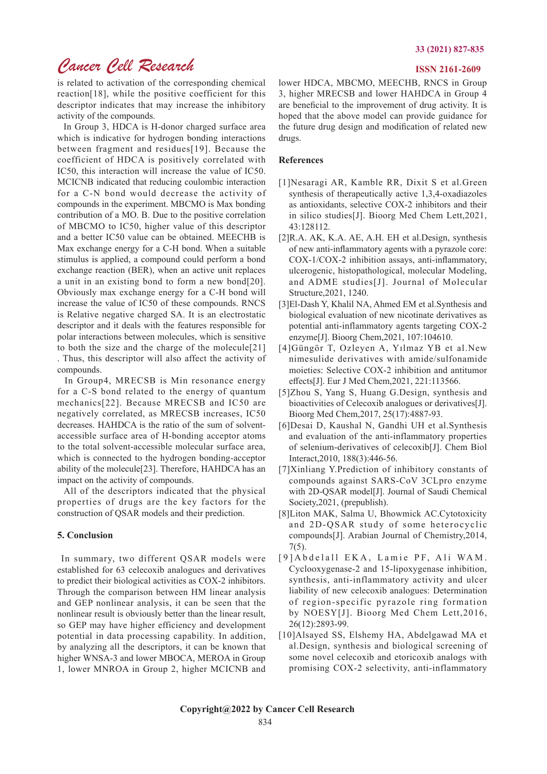## *Cancer Cell Research* **ISSN 2161-2609**

is related to activation of the corresponding chemical reaction[18], while the positive coefficient for this descriptor indicates that may increase the inhibitory activity of the compounds.

 In Group 3, HDCA is H-donor charged surface area which is indicative for hydrogen bonding interactions between fragment and residues[19]. Because the coefficient of HDCA is positively correlated with IC50, this interaction will increase the value of IC50. MCICNB indicated that reducing coulombic interaction for a C-N bond would decrease the activity of compounds in the experiment. MBCMO is Max bonding contribution of a MO. B. Due to the positive correlation of MBCMO to IC50, higher value of this descriptor and a better IC50 value can be obtained. MEECHB is Max exchange energy for a C-H bond. When a suitable stimulus is applied, a compound could perform a bond exchange reaction (BER), when an active unit replaces a unit in an existing bond to form a new bond[20]. Obviously max exchange energy for a C-H bond will increase the value of IC50 of these compounds. RNCS is Relative negative charged SA. It is an electrostatic descriptor and it deals with the features responsible for polar interactions between molecules, which is sensitive to both the size and the charge of the molecule[21] . Thus, this descriptor will also affect the activity of compounds.

 In Group4, MRECSB is Min resonance energy for a C-S bond related to the energy of quantum mechanics[22]. Because MRECSB and IC50 are negatively correlated, as MRECSB increases, IC50 decreases. HAHDCA is the ratio of the sum of solventaccessible surface area of H-bonding acceptor atoms to the total solvent-accessible molecular surface area, which is connected to the hydrogen bonding-acceptor ability of the molecule[23]. Therefore, HAHDCA has an impact on the activity of compounds.

 All of the descriptors indicated that the physical properties of drugs are the key factors for the construction of QSAR models and their prediction.

#### **5. Conclusion**

In summary, two different QSAR models were established for 63 celecoxib analogues and derivatives to predict their biological activities as COX-2 inhibitors. Through the comparison between HM linear analysis and GEP nonlinear analysis, it can be seen that the nonlinear result is obviously better than the linear result, so GEP may have higher efficiency and development potential in data processing capability. In addition, by analyzing all the descriptors, it can be known that higher WNSA-3 and lower MBOCA, MEROA in Group 1, lower MNROA in Group 2, higher MCICNB and lower HDCA, MBCMO, MEECHB, RNCS in Group 3, higher MRECSB and lower HAHDCA in Group 4 are beneficial to the improvement of drug activity. It is hoped that the above model can provide guidance for the future drug design and modification of related new drugs.

### **References**

- [1]Nesaragi AR, Kamble RR, Dixit S et al.Green synthesis of therapeutically active 1,3,4-oxadiazoles as antioxidants, selective COX-2 inhibitors and their in silico studies[J]. Bioorg Med Chem Lett,2021, 43:128112.
- [2]R.A. AK, K.A. AE, A.H. EH et al.Design, synthesis of new anti-inflammatory agents with a pyrazole core: COX-1/COX-2 inhibition assays, anti-inflammatory, ulcerogenic, histopathological, molecular Modeling, and ADME studies[J]. Journal of Molecular Structure,2021, 1240.
- [3]El-Dash Y, Khalil NA, Ahmed EM et al.Synthesis and biological evaluation of new nicotinate derivatives as potential anti-inflammatory agents targeting COX-2 enzyme[J]. Bioorg Chem,2021, 107:104610.
- [4]Güngör T, Ozleyen A, Yılmaz YB et al.New nimesulide derivatives with amide/sulfonamide moieties: Selective COX-2 inhibition and antitumor effects[J]. Eur J Med Chem,2021, 221:113566.
- [5]Zhou S, Yang S, Huang G.Design, synthesis and bioactivities of Celecoxib analogues or derivatives[J]. Bioorg Med Chem,2017, 25(17):4887-93.
- [6]Desai D, Kaushal N, Gandhi UH et al.Synthesis and evaluation of the anti-inflammatory properties of selenium-derivatives of celecoxib[J]. Chem Biol Interact,2010, 188(3):446-56.
- [7]Xinliang Y.Prediction of inhibitory constants of compounds against SARS-CoV 3CLpro enzyme with 2D-QSAR model[J]. Journal of Saudi Chemical Society,2021, (prepublish).
- [8]Liton MAK, Salma U, Bhowmick AC.Cytotoxicity and 2D-QSAR study of some heterocyclic compounds[J]. Arabian Journal of Chemistry,2014, 7(5).
- [9] Abdelall EKA, Lamie PF, Ali WAM. Cyclooxygenase-2 and 15-lipoxygenase inhibition, synthesis, anti-inflammatory activity and ulcer liability of new celecoxib analogues: Determination of region-specific pyrazole ring formation by NOESY[J]. Bioorg Med Chem Lett,2016, 26(12):2893-99.
- [10]Alsayed SS, Elshemy HA, Abdelgawad MA et al.Design, synthesis and biological screening of some novel celecoxib and etoricoxib analogs with promising COX-2 selectivity, anti-inflammatory